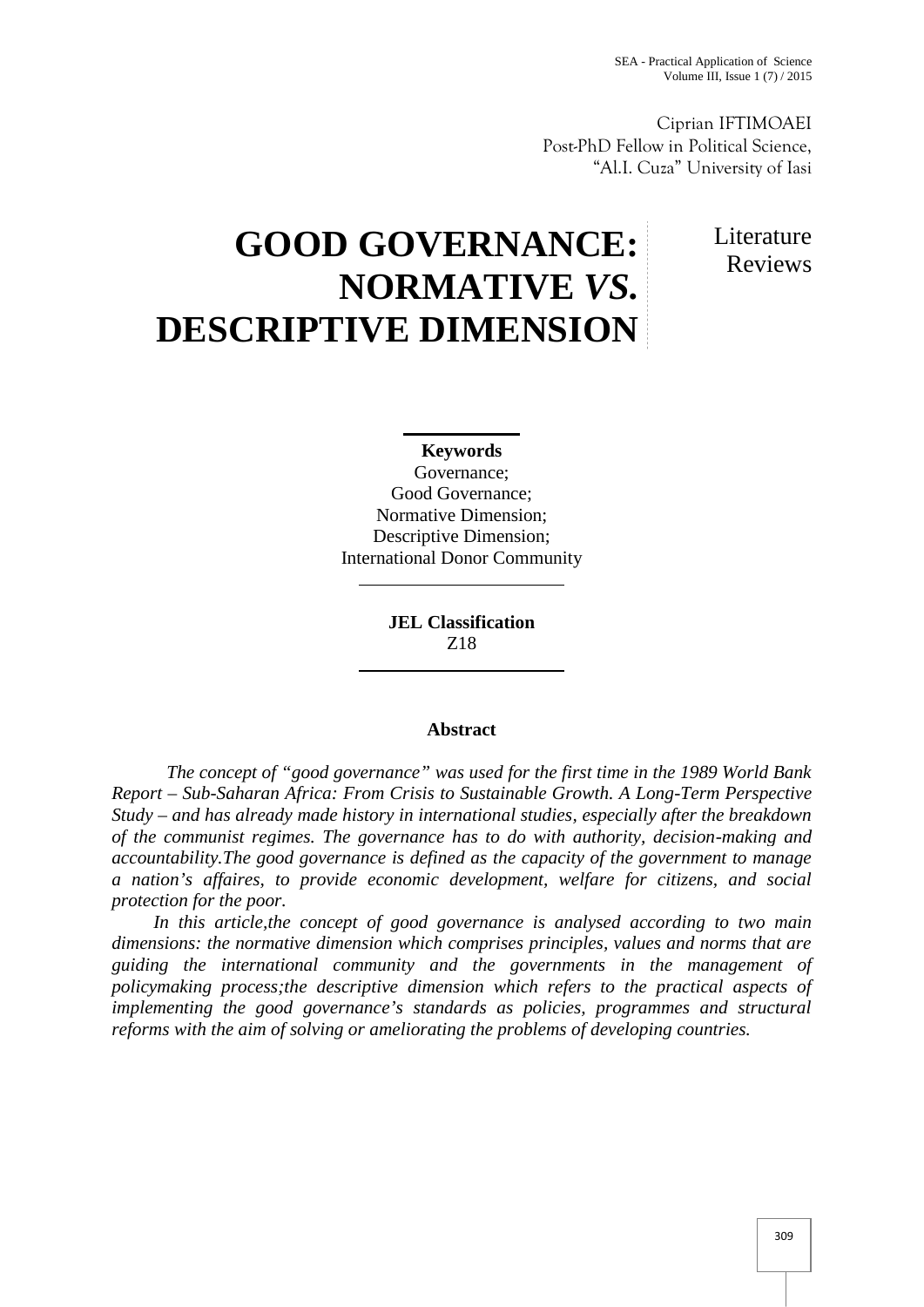Ciprian IFTIMOAEI Post-PhD Fellow in Political Science, "Al.I. Cuza" University of Iasi

# **GOOD GOVERNANCE: NORMATIVE** *VS.* **DESCRIPTIVE DIMENSION**

Literature Reviews

## **Keywords**

Governance; Good Governance; Normative Dimension; Descriptive Dimension; International Donor Community

> **JEL Classification** Z18

## **Abstract**

*The concept of "good governance" was used for the first time in the 1989 World Bank Report – Sub-Saharan Africa: From Crisis to Sustainable Growth. A Long-Term Perspective Study – and has already made history in international studies, especially after the breakdown of the communist regimes. The governance has to do with authority, decision-making and accountability.The good governance is defined as the capacity of the government to manage a nation's affaires, to provide economic development, welfare for citizens, and social protection for the poor.*

*In this article,the concept of good governance is analysed according to two main dimensions: the normative dimension which comprises principles, values and norms that are guiding the international community and the governments in the management of policymaking process;the descriptive dimension which refers to the practical aspects of implementing the good governance's standards as policies, programmes and structural reforms with the aim of solving or ameliorating the problems of developing countries.*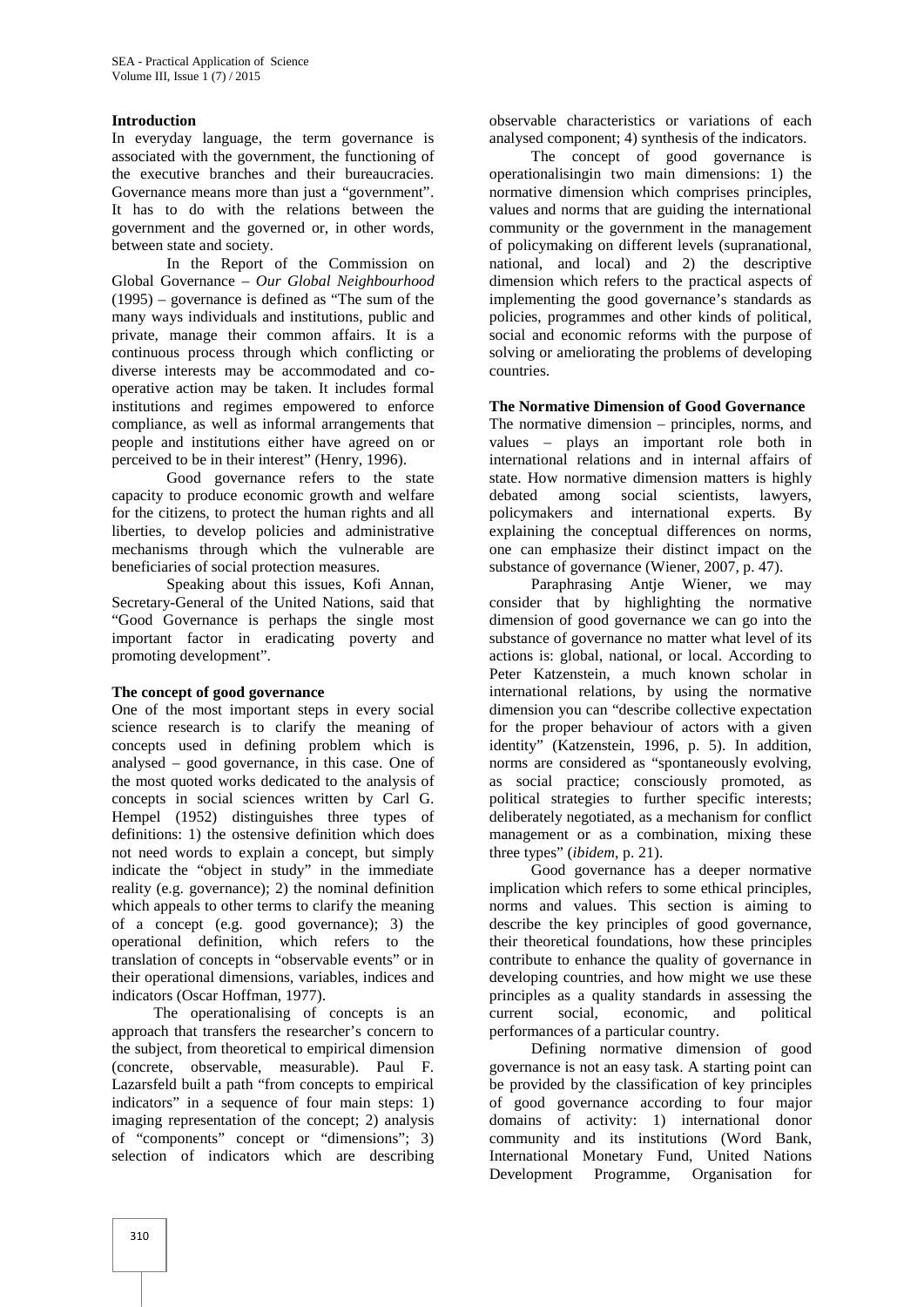#### **Introduction**

In everyday language, the term governance is associated with the government, the functioning of the executive branches and their bureaucracies. Governance means more than just a "government". It has to do with the relations between the government and the governed or, in other words, between state and society.

In the Report of the Commission on Global Governance – *Our Global Neighbourhood*  $(1995)$  – governance is defined as "The sum of the many ways individuals and institutions, public and private, manage their common affairs. It is a continuous process through which conflicting or diverse interests may be accommodated and co operative action may be taken. It includes formal institutions and regimes empowered to enforce compliance, as well as informal arrangements that people and institutions either have agreed on or perceived to be in their interest" (Henry, 1996).

Good governance refers to the state capacity to produce economic growth and welfare for the citizens, to protect the human rights and all liberties, to develop policies and administrative mechanisms through which the vulnerable are beneficiaries of social protection measures.

Speaking about this issues, Kofi Annan, Secretary-General of the United Nations, said that "Good Governance is perhaps the single most important factor in eradicating poverty and promoting development".

#### **The concept of good governance**

One of the most important steps in every social science research is to clarify the meaning of concepts used in defining problem which is analysed – good governance, in this case. One of the most quoted works dedicated to the analysis of concepts in social sciences written by Carl G. Hempel (1952) distinguishes three types of definitions: 1) the ostensive definition which does not need words to explain a concept, but simply indicate the "object in study" in the immediate reality (e.g. governance); 2) the nominal definition which appeals to other terms to clarify the meaning of a concept (e.g. good governance); 3) the operational definition, which refers to the translation of concepts in "observable events" or in their operational dimensions, variables, indices and indicators (Oscar Hoffman, 1977).

The operationalising of concepts is an eurrent approach that transfers the researcher's concern to the subject, from theoretical to empirical dimension (concrete, observable, measurable). Paul F. Lazarsfeld built a path "from concepts to empirical indicators" in a sequence of four main steps: 1) imaging representation of the concept; 2) analysis of "components" concept or "dimensions"; 3) selection of indicators which are describing

observable characteristics or variations of each analysed component; 4) synthesis of the indicators.

The concept of good governance is operationalisingin two main dimensions: 1) the normative dimension which comprises principles, values and norms that are guiding the international community or the government in the management of policymaking on different levels (supranational, national, and local) and 2) the descriptive dimension which refers to the practical aspects of implementing the good governance's standards as policies, programmes and other kinds of political, social and economic reforms with the purpose of solving or ameliorating the problems of developing countries.

## **The Normative Dimension of Good Governance**

The normative dimension – principles, norms, and values – plays an important role both in international relations and in internal affairs of state. How normative dimension matters is highly debated among social scientists, lawyers, policymakers and international experts. By explaining the conceptual differences on norms, one can emphasize their distinct impact on the substance of governance (Wiener, 2007, p. 47).

Paraphrasing Antje Wiener, we may consider that by highlighting the normative dimension of good governance we can go into the substance of governance no matter what level of its actions is: global, national, or local. According to Peter Katzenstein, a much known scholar in international relations, by using the normative dimension you can "describe collective expectation for the proper behaviour of actors with a given identity" (Katzenstein, 1996, p. 5). In addition, norms are considered as "spontaneously evolving, as social practice; consciously promoted, as political strategies to further specific interests; deliberately negotiated, as a mechanism for conflict management or as a combination, mixing these three types" (*ibidem*, p. 21).

Good governance has a deeper normative implication which refers to some ethical principles, norms and values. This section is aiming to describe the key principles of good governance, their theoretical foundations, how these principles contribute to enhance the quality of governance in developing countries, and how might we use these principles as a quality standards in assessing the current social, economic, and political social, economic, and performances of a particular country.

Defining normative dimension of good governance is not an easy task. A starting point can be provided by the classification of key principles of good governance according to four major domains of activity: 1) international donor community and its institutions (Word Bank, International Monetary Fund, United Nations Development Programme, Organisation for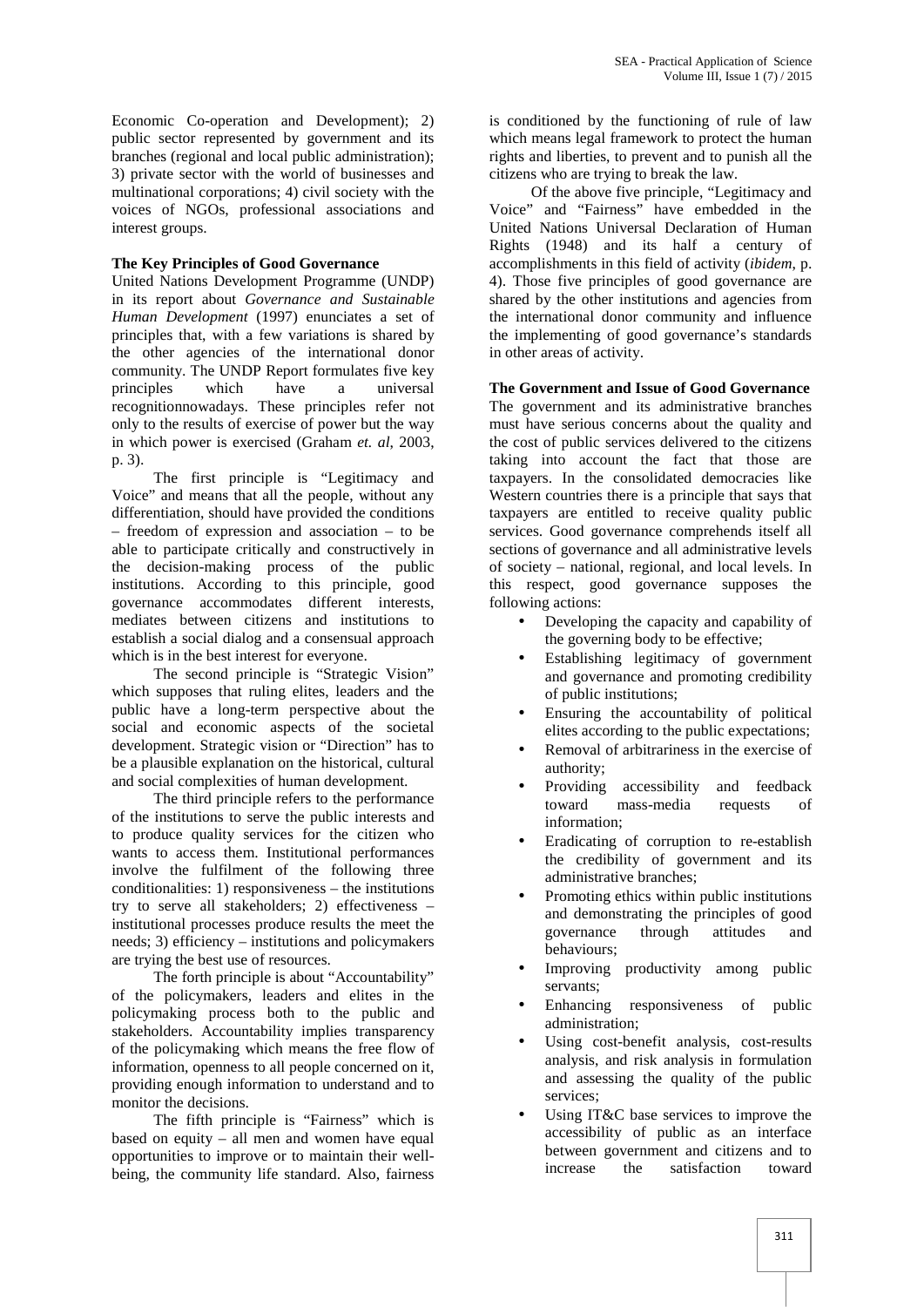Economic Co-operation and Development); 2) public sector represented by government and its branches (regional and local public administration); 3) private sector with the world of businesses and multinational corporations; 4) civil society with the voices of NGOs, professional associations and interest groups.

### **The Key Principles of Good Governance**

United Nations Development Programme (UNDP) in its report about *Governance and Sustainable Human Development* (1997) enunciates a set of principles that, with a few variations is shared by the other agencies of the international donor community. The UNDP Report formulates five key principles which have a universal recognitionnowadays. These principles refer not only to the results of exercise of power but the way in which power is exercised (Graham *et. al*, 2003, p. 3).

The first principle is "Legitimacy and Voice" and means that all the people, without any differentiation, should have provided the conditions – freedom of expression and association – to be able to participate critically and constructively in the decision-making process of the public institutions. According to this principle, good governance accommodates different interests, mediates between citizens and institutions to establish a social dialog and a consensual approach which is in the best interest for everyone.

The second principle is "Strategic Vision" which supposes that ruling elites, leaders and the public have a long-term perspective about the social and economic aspects of the societal development. Strategic vision or "Direction" has to be a plausible explanation on the historical, cultural and social complexities of human development.

The third principle refers to the performance of the institutions to serve the public interests and to produce quality services for the citizen who wants to access them. Institutional performances involve the fulfilment of the following three conditionalities: 1) responsiveness – the institutions try to serve all stakeholders; 2) effectiveness – institutional processes produce results the meet the needs; 3) efficiency – institutions and policymakers are trying the best use of resources.

The forth principle is about "Accountability" of the policymakers, leaders and elites in the policymaking process both to the public and stakeholders. Accountability implies transparency of the policymaking which means the free flow of information, openness to all people concerned on it, providing enough information to understand and to monitor the decisions.

The fifth principle is "Fairness" which is based on equity – all men and women have equal opportunities to improve or to maintain their well being, the community life standard. Also, fairness

is conditioned by the functioning of rule of law which means legal framework to protect the human rights and liberties, to prevent and to punish all the citizens who are trying to break the law.

Of the above five principle, "Legitimacy and Voice" and "Fairness" have embedded in the United Nations Universal Declaration of Human Rights (1948) and its half a century of accomplishments in this field of activity (*ibidem*, p. 4). Those five principles of good governance are shared by the other institutions and agencies from the international donor community and influence the implementing of good governance's standards in other areas of activity.

**The Government and Issue of Good Governance**

The government and its administrative branches must have serious concerns about the quality and the cost of public services delivered to the citizens taking into account the fact that those are taxpayers. In the consolidated democracies like Western countries there is a principle that says that taxpayers are entitled to receive quality public services. Good governance comprehends itself all sections of governance and all administrative levels of society – national, regional, and local levels. In this respect, good governance supposes the following actions:

- Developing the capacity and capability of the governing body to be effective;
- Establishing legitimacy of government and governance and promoting credibility of public institutions;
- Ensuring the accountability of political elites according to the public expectations;
- Removal of arbitrariness in the exercise of authority;
- Providing accessibility and feedback toward mass-media requests of information;
- Eradicating of corruption to re-establish the credibility of government and its administrative branches;
- Promoting ethics within public institutions and demonstrating the principles of good governance through attitudes and behaviours;
- Improving productivity among public servants;
- Enhancing responsiveness of public administration;
- Using cost-benefit analysis, cost-results analysis, and risk analysis in formulation and assessing the quality of the public services;
- Using IT&C base services to improve the accessibility of public as an interface between government and citizens and to increase the satisfaction toward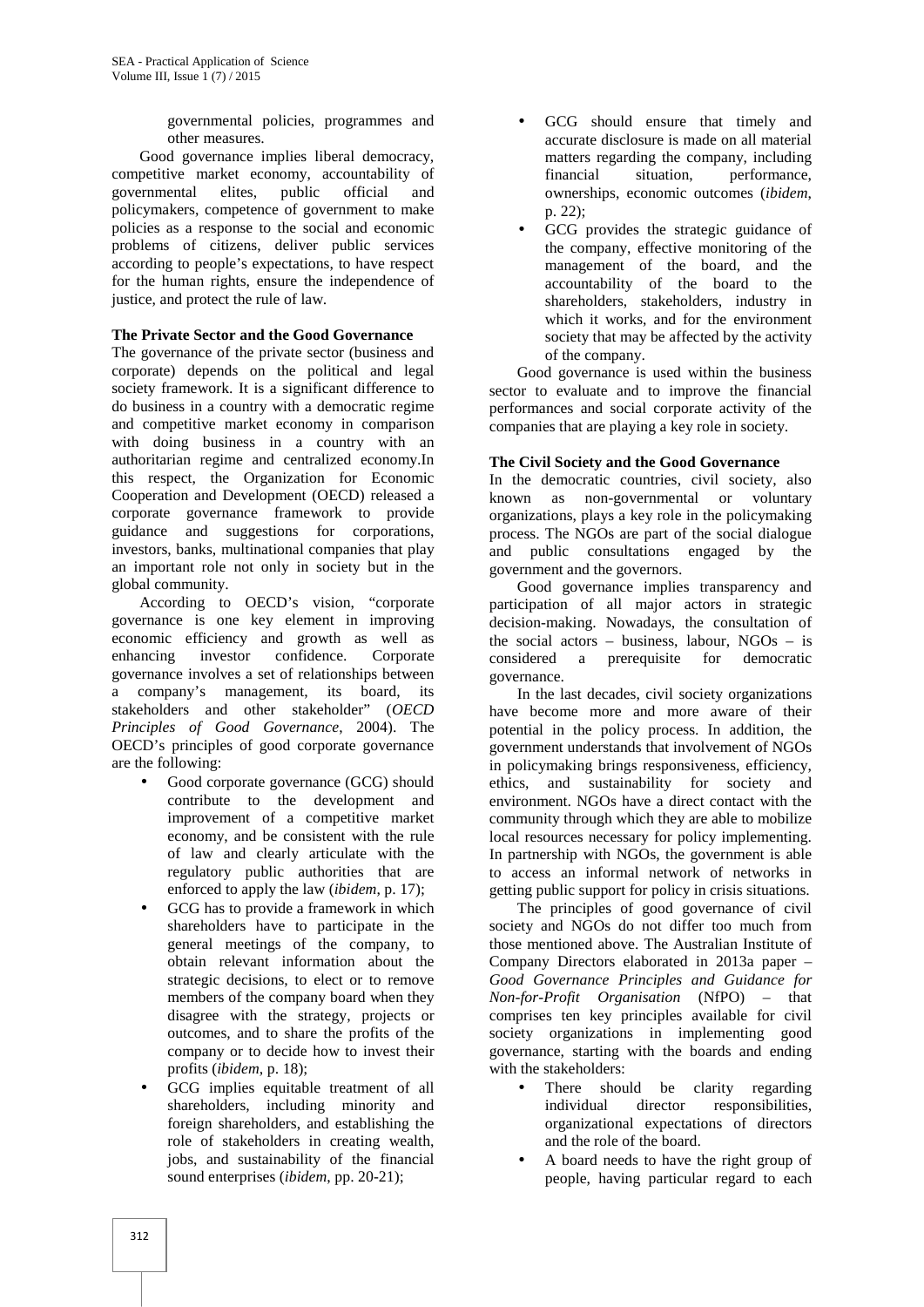governmental policies, programmes and other measures.

Good governance implies liberal democracy, competitive market economy, accountability of governmental elites, public official and policymakers, competence of government to make policies as a response to the social and economic problems of citizens, deliver public services according to people's expectations, to have respect for the human rights, ensure the independence of justice, and protect the rule of law.

#### **The Private Sector and the Good Governance**

The governance of the private sector (business and corporate) depends on the political and legal society framework. It is a significant difference to do business in a country with a democratic regime and competitive market economy in comparison with doing business in a country with an authoritarian regime and centralized economy.In this respect, the Organization for Economic Cooperation and Development (OECD) released a corporate governance framework to provide guidance and suggestions for corporations, investors, banks, multinational companies that play an important role not only in society but in the global community.

According to OECD's vision, "corporate governance is one key element in improving economic efficiency and growth as well as enhancing investor confidence. Corporate governance involves a set of relationships between a company's management, its board, its stakeholders and other stakeholder" (*OECD Principles of Good Governance*, 2004). The OECD's principles of good corporate governance are the following:

- Good corporate governance (GCG) should contribute to the development and improvement of a competitive market economy, and be consistent with the rule of law and clearly articulate with the regulatory public authorities that are enforced to apply the law (*ibidem*, p. 17);
- GCG has to provide a framework in which shareholders have to participate in the general meetings of the company, to obtain relevant information about the strategic decisions, to elect or to remove members of the company board when they disagree with the strategy, projects or outcomes, and to share the profits of the company or to decide how to invest their profits (*ibidem*, p. 18);
- GCG implies equitable treatment of all shareholders, including minority and foreign shareholders, and establishing the role of stakeholders in creating wealth, jobs, and sustainability of the financial sound enterprises (*ibidem*, pp. 20-21);
- GCG should ensure that timely and accurate disclosure is made on all material matters regarding the company, including financial situation, performance, ownerships, economic outcomes (*ibidem*, p. 22);
- GCG provides the strategic guidance of the company, effective monitoring of the management of the board, and the accountability of the board to the shareholders, stakeholders, industry in which it works, and for the environment society that may be affected by the activity of the company.

Good governance is used within the business sector to evaluate and to improve the financial performances and social corporate activity of the companies that are playing a key role in society.

#### **The Civil Society and the Good Governance**

In the democratic countries, civil society, also known as non-governmental or voluntary organizations, plays a key role in the policymaking process. The NGOs are part of the social dialogue and public consultations engaged by the government and the governors.

Good governance implies transparency and participation of all major actors in strategic decision-making. Nowadays, the consultation of the social actors – business, labour,  $NGOs - is$ considered a prerequisite for democratic governance.

In the last decades, civil society organizations have become more and more aware of their potential in the policy process. In addition, the government understands that involvement of NGOs in policymaking brings responsiveness, efficiency, ethics, and sustainability for society and environment. NGOs have a direct contact with the community through which they are able to mobilize local resources necessary for policy implementing. In partnership with NGOs, the government is able to access an informal network of networks in getting public support for policy in crisis situations.

The principles of good governance of civil society and NGOs do not differ too much from those mentioned above. The Australian Institute of Company Directors elaborated in 2013a paper – *Good Governance Principles and Guidance for Non-for-Profit Organisation* (NfPO) – that comprises ten key principles available for civil society organizations in implementing good governance, starting with the boards and ending with the stakeholders:

- There should be clarity regarding individual director responsibilities, organizational expectations of directors and the role of the board.
- A board needs to have the right group of people, having particular regard to each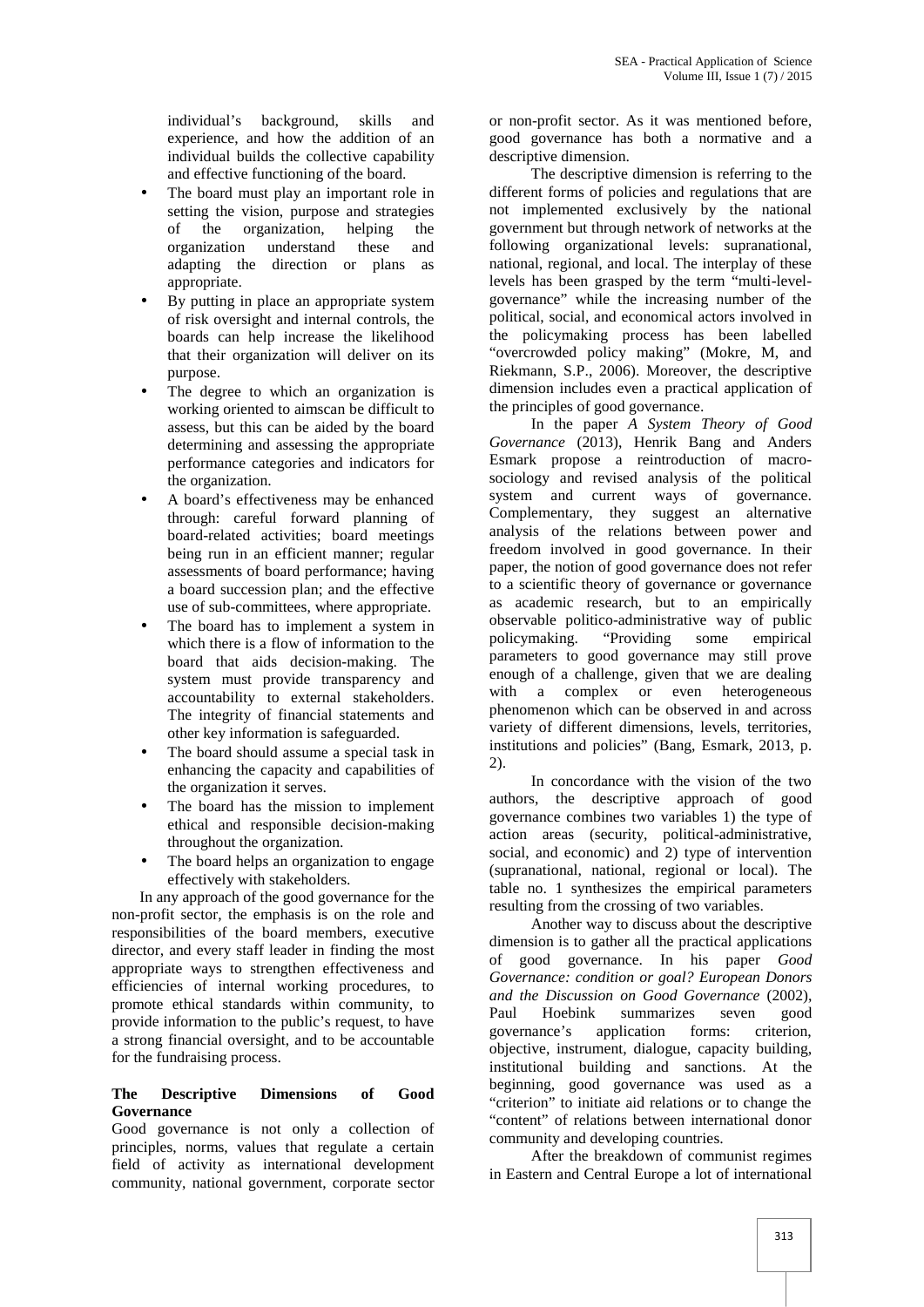individual's background, skills and experience, and how the addition of an individual builds the collective capability and effective functioning of the board.

- The board must play an important role in setting the vision, purpose and strategies of the organization, helping the<br>organization understand these and organization adapting the direction or plans as appropriate.
- By putting in place an appropriate system of risk oversight and internal controls, the boards can help increase the likelihood that their organization will deliver on its purpose.
- The degree to which an organization is working oriented to aimscan be difficult to assess, but this can be aided by the board determining and assessing the appropriate performance categories and indicators for the organization.
- A board's effectiveness may be enhanced through: careful forward planning of board-related activities; board meetings being run in an efficient manner; regular assessments of board performance; having a board succession plan; and the effective use of sub-committees, where appropriate.
- The board has to implement a system in which there is a flow of information to the board that aids decision-making. The system must provide transparency and accountability to external stakeholders. The integrity of financial statements and other key information is safeguarded.
- The board should assume a special task in enhancing the capacity and capabilities of the organization it serves.
- The board has the mission to implement ethical and responsible decision-making throughout the organization.
- The board helps an organization to engage effectively with stakeholders.

In any approach of the good governance for the non-profit sector, the emphasis is on the role and responsibilities of the board members, executive director, and every staff leader in finding the most appropriate ways to strengthen effectiveness and efficiencies of internal working procedures, to promote ethical standards within community, to Paul provide information to the public's request, to have a strong financial oversight, and to be accountable for the fundraising process.

#### **The Descriptive Dimensions of Good Governance**

Good governance is not only a collection of principles, norms, values that regulate a certain field of activity as international development community, national government, corporate sector or non-profit sector. As it was mentioned before, good governance has both a normative and a descriptive dimension.

The descriptive dimension is referring to the different forms of policies and regulations that are not implemented exclusively by the national government but through network of networks at the following organizational levels: supranational, national, regional, and local. The interplay of these levels has been grasped by the term "multi-level governance" while the increasing number of the political, social, and economical actors involved in the policymaking process has been labelled "overcrowded policy making" (Mokre, M, and Riekmann, S.P., 2006). Moreover, the descriptive dimension includes even a practical application of the principles of good governance.

In the paper *A System Theory of Good Governance* (2013), Henrik Bang and Anders Esmark propose a reintroduction of macro sociology and revised analysis of the political system and current ways of governance. Complementary, they suggest an alternative analysis of the relations between power and freedom involved in good governance. In their paper, the notion of good governance does not refer to a scientific theory of governance or governance as academic research, but to an empirically observable politico-administrative way of public policymaking. "Providing some empirical parameters to good governance may still prove enough of a challenge, given that we are dealing with a complex or even heterogeneous phenomenon which can be observed in and across variety of different dimensions, levels, territories, institutions and policies" (Bang, Esmark, 2013, p.  $2)$ 

In concordance with the vision of the two authors, the descriptive approach of good governance combines two variables 1) the type of action areas (security, political-administrative, social, and economic) and 2) type of intervention (supranational, national, regional or local). The table no. 1 synthesizes the empirical parameters resulting from the crossing of two variables.

Another way to discuss about the descriptive dimension is to gather all the practical applications of good governance. In his paper *Good Governance: condition or goal? European Donors and the Discussion on Good Governance* (2002), summarizes seven good governance's application forms: criterion, objective, instrument, dialogue, capacity building, institutional building and sanctions. At the beginning, good governance was used as a "criterion" to initiate aid relations or to change the "content" of relations between international donor community and developing countries.

After the breakdown of communist regimes in Eastern and Central Europe a lot of international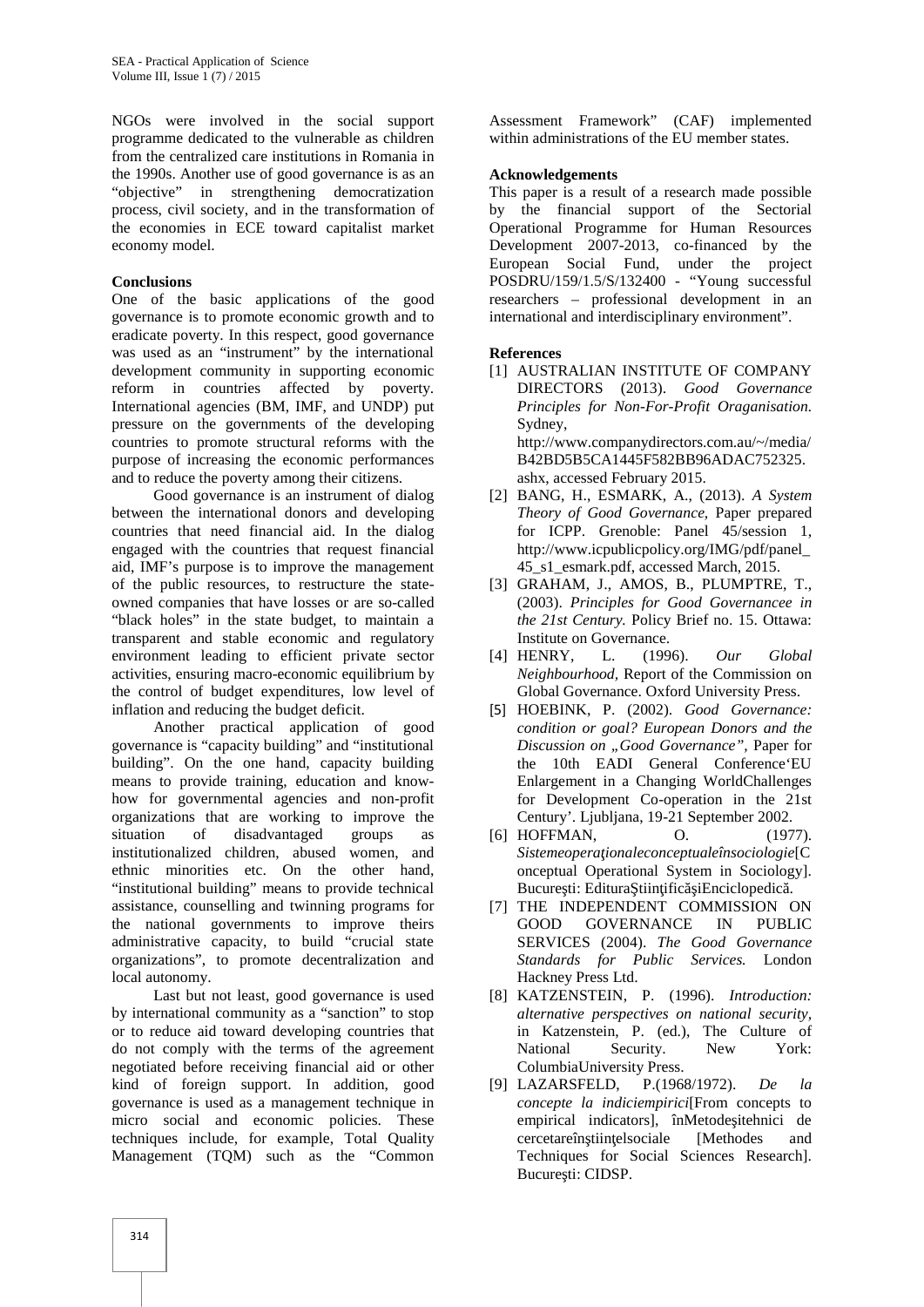NGOs were involved in the social support programme dedicated to the vulnerable as children from the centralized care institutions in Romania in the 1990s. Another use of good governance is as an "objective" in strengthening democratization process, civil society, and in the transformation of the economies in ECE toward capitalist market economy model.

#### **Conclusions**

One of the basic applications of the good governance is to promote economic growth and to eradicate poverty. In this respect, good governance was used as an "instrument" by the international development community in supporting economic reform in countries affected by poverty. International agencies (BM, IMF, and UNDP) put pressure on the governments of the developing countries to promote structural reforms with the purpose of increasing the economic performances and to reduce the poverty among their citizens.

Good governance is an instrument of dialog between the international donors and developing countries that need financial aid. In the dialog engaged with the countries that request financial aid, IMF's purpose is to improve the management of the public resources, to restructure the state owned companies that have losses or are so-called "black holes" in the state budget, to maintain a transparent and stable economic and regulatory environment leading to efficient private sector activities, ensuring macro-economic equilibrium by the control of budget expenditures, low level of inflation and reducing the budget deficit.

Another practical application of good governance is "capacity building" and "institutional building". On the one hand, capacity building means to provide training, education and know how for governmental agencies and non-profit organizations that are working to improve the situation of disadvantaged groups as institutionalized children, abused women, and ethnic minorities etc. On the other hand, "institutional building" means to provide technical assistance, counselling and twinning programs for the national governments to improve theirs administrative capacity, to build "crucial state organizations", to promote decentralization and local autonomy.

Last but not least, good governance is used by international community as a "sanction" to stop or to reduce aid toward developing countries that do not comply with the terms of the agreement negotiated before receiving financial aid or other kind of foreign support. In addition, good governance is used as a management technique in micro social and economic policies. These techniques include, for example, Total Quality Management (TQM) such as the "Common

Assessment Framework" (CAF) implemented within administrations of the EU member states.

#### **Acknowledgements**

This paper is a result of a research made possible by the financial support of the Sectorial Operational Programme for Human Resources Development 2007-2013, co-financed by the European Social Fund, under the project POSDRU/159/1.5/S/132400 - "Young successful researchers – professional development in an international and interdisciplinary environment".

#### **References**

- [1] AUSTRALIAN INSTITUTE OF COMPANY DIRECTORS (2013). *Good Governance Principles for Non-For-Profit Oraganisation.* Sydney, http://www.companydirectors.com.au/~/media/ B42BD5B5CA1445F582BB96ADAC752325. ashx, accessed February 2015.
- [2] BANG, H., ESMARK, A., (2013). *A System Theory of Good Governance,* Paper prepared for ICPP. Grenoble: Panel 45/session 1, http://www.icpublicpolicy.org/IMG/pdf/panel\_ 45\_s1\_esmark.pdf, accessed March, 2015.
- [3] GRAHAM, J., AMOS, B., PLUMPTRE, T., (2003). *Principles for Good Governancee in the 21st Century.* Policy Brief no. 15. Ottawa: Institute on Governance.
- [4] HENRY, L. (1996). *Our Global Neighbourhood,* Report of the Commission on Global Governance. Oxford University Press.
- [5] HOEBINK, P. (2002). *Good Governance: condition or goal? European Donors and the Discussion on "Good Governance",* Paper for the 10th EADI General Conference'EU Enlargement in a Changing WorldChallenges for Development Co-operation in the 21st Century'. Ljubljana, 19-21 September 2002.
- [6] HOFFMAN, O. (1977). *Sistemeoperaţionaleconceptualeînsociologie*[C onceptual Operational System in Sociology]. Bucure ti: Editura tiin ific iEnciclopedic .
- [7] THE INDEPENDENT COMMISSION ON GOOD GOVERNANCE IN PUBLIC SERVICES (2004). *The Good Governance Standards for Public Services.* London Hackney Press Ltd.
- [8] KATZENSTEIN, P. (1996). *Introduction: alternative perspectives on national security,* in Katzenstein, P. (ed.), The Culture of National Security. New York: ColumbiaUniversity Press.
- [9] LAZARSFELD, P.(1968/1972). *De la concepte la indiciempirici*[From concepts to empirical indicators], înMetode itehnici de cercetareîn tiin elsociale [Methodes and Techniques for Social Sciences Research]. Bucure ti: CIDSP.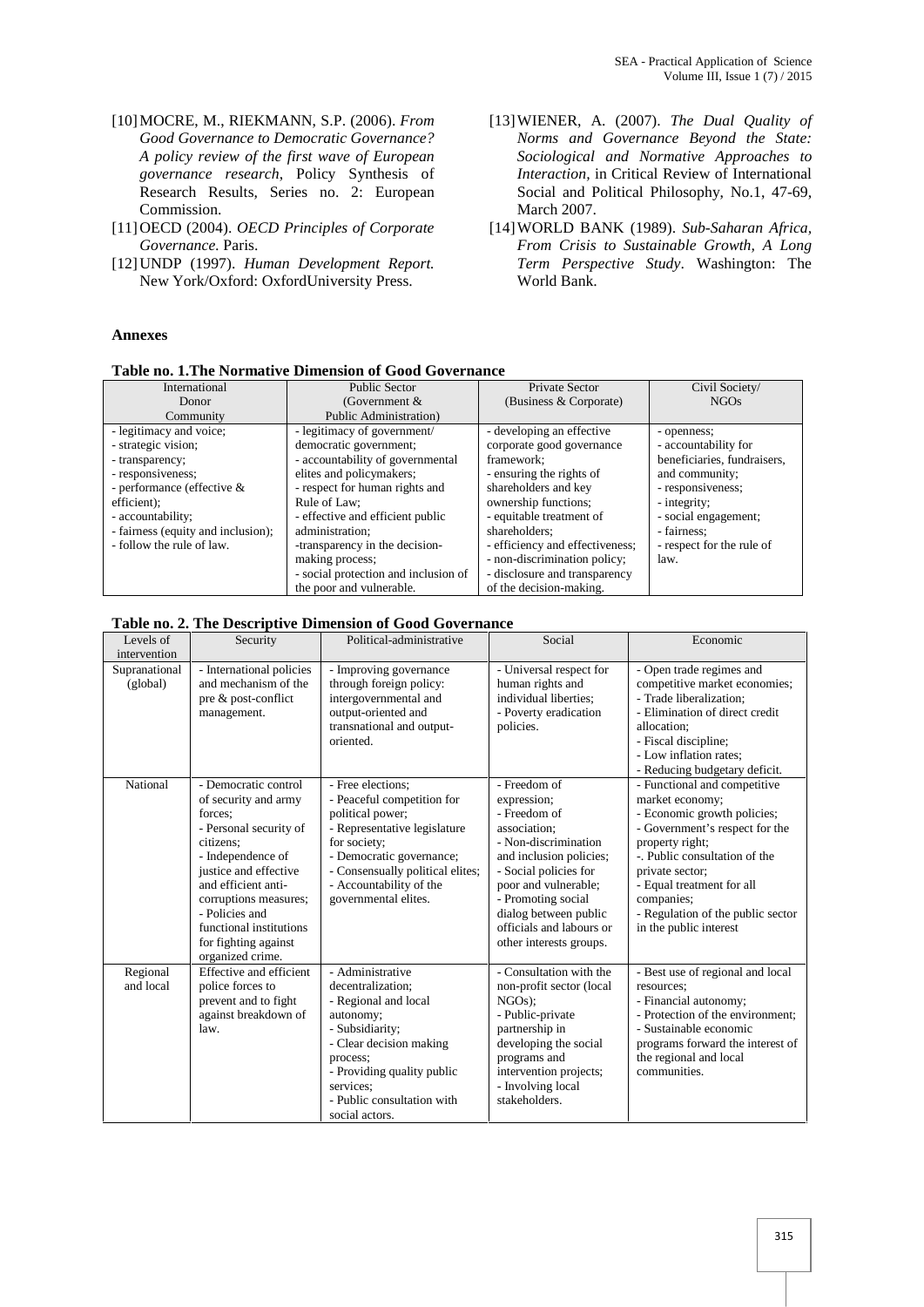- [10]MOCRE, M., RIEKMANN, S.P. (2006). *From Good Governance to Democratic Governance? A policy review of the first wave of European governance research*, Policy Synthesis of Research Results, Series no. 2: European Commission.
- [11]OECD (2004). *OECD Principles of Corporate Governance.* Paris.
- [12]UNDP (1997). *Human Development Report.* New York/Oxford: OxfordUniversity Press.

#### **Annexes**

- [13]WIENER, A. (2007). *The Dual Quality of Norms and Governance Beyond the State: Sociological and Normative Approaches to Interaction,* in Critical Review of International Social and Political Philosophy, No.1, 47-69, March 2007.
- [14]WORLD BANK (1989). *Sub-Saharan Africa, From Crisis to Sustainable Growth, A Long Term Perspective Study*. Washington: The World Bank.

| Table no. 1. The Normative Dimension of Good Governance |  |  |
|---------------------------------------------------------|--|--|
|---------------------------------------------------------|--|--|

| International                      | <b>Public Sector</b>                 | Private Sector                  | Civil Society/              |
|------------------------------------|--------------------------------------|---------------------------------|-----------------------------|
| Donor                              | (Government $&$                      | (Business & Corporate)          | NGOs                        |
| Community                          | Public Administration)               |                                 |                             |
| - legitimacy and voice;            | - legitimacy of government/          | - developing an effective       | - openness:                 |
| - strategic vision;                | democratic government;               | corporate good governance       | - accountability for        |
| - transparency;                    | - accountability of governmental     | framework:                      | beneficiaries, fundraisers, |
| - responsiveness;                  | elites and policymakers;             | - ensuring the rights of        | and community;              |
| - performance (effective $\&$      | - respect for human rights and       | shareholders and key            | - responsiveness;           |
| efficient);                        | Rule of Law:                         | ownership functions;            | - integrity;                |
| - accountability;                  | - effective and efficient public     | - equitable treatment of        | - social engagement;        |
| - fairness (equity and inclusion); | administration:                      | shareholders:                   | - fairness:                 |
| - follow the rule of law.          | -transparency in the decision-       | - efficiency and effectiveness; | - respect for the rule of   |
|                                    | making process;                      | - non-discrimination policy;    | law.                        |
|                                    | - social protection and inclusion of | - disclosure and transparency   |                             |
|                                    | the poor and vulnerable.             | of the decision-making.         |                             |

#### **Table no. 2. The Descriptive Dimension of Good Governance**

| Levels of<br>intervention | Security                                                                                                                                                                                                                                                                              | Political-administrative                                                                                                                                                                                                               | Social                                                                                                                                                                                                                                                                | Economic                                                                                                                                                                                                                                                                                          |
|---------------------------|---------------------------------------------------------------------------------------------------------------------------------------------------------------------------------------------------------------------------------------------------------------------------------------|----------------------------------------------------------------------------------------------------------------------------------------------------------------------------------------------------------------------------------------|-----------------------------------------------------------------------------------------------------------------------------------------------------------------------------------------------------------------------------------------------------------------------|---------------------------------------------------------------------------------------------------------------------------------------------------------------------------------------------------------------------------------------------------------------------------------------------------|
| Supranational<br>(global) | - International policies<br>and mechanism of the<br>pre & post-conflict<br>management.                                                                                                                                                                                                | - Improving governance<br>through foreign policy:<br>intergovernmental and<br>output-oriented and<br>transnational and output-<br>oriented.                                                                                            | - Universal respect for<br>human rights and<br>individual liberties;<br>- Poverty eradication<br>policies.                                                                                                                                                            | - Open trade regimes and<br>competitive market economies;<br>- Trade liberalization;<br>- Elimination of direct credit<br>allocation:<br>- Fiscal discipline;<br>- Low inflation rates;<br>- Reducing budgetary deficit.                                                                          |
| National                  | - Democratic control<br>of security and army<br>forces:<br>- Personal security of<br>citizens:<br>- Independence of<br>justice and effective<br>and efficient anti-<br>corruptions measures;<br>- Policies and<br>functional institutions<br>for fighting against<br>organized crime. | - Free elections:<br>- Peaceful competition for<br>political power;<br>- Representative legislature<br>for society;<br>- Democratic governance;<br>- Consensually political elites;<br>- Accountability of the<br>governmental elites. | - Freedom of<br>expression;<br>- Freedom of<br>association;<br>- Non-discrimination<br>and inclusion policies;<br>- Social policies for<br>poor and vulnerable;<br>- Promoting social<br>dialog between public<br>officials and labours or<br>other interests groups. | - Functional and competitive<br>market economy;<br>- Economic growth policies;<br>- Government's respect for the<br>property right;<br>-. Public consultation of the<br>private sector;<br>- Equal treatment for all<br>companies;<br>- Regulation of the public sector<br>in the public interest |
| Regional<br>and local     | Effective and efficient<br>police forces to<br>prevent and to fight<br>against breakdown of<br>law.                                                                                                                                                                                   | - Administrative<br>decentralization;<br>- Regional and local<br>autonomy;<br>- Subsidiarity;<br>- Clear decision making<br>process:<br>- Providing quality public<br>services:<br>- Public consultation with<br>social actors.        | - Consultation with the<br>non-profit sector (local<br>$NGOs$ :<br>- Public-private<br>partnership in<br>developing the social<br>programs and<br>intervention projects;<br>- Involving local<br>stakeholders.                                                        | - Best use of regional and local<br>resources;<br>- Financial autonomy;<br>- Protection of the environment:<br>- Sustainable economic<br>programs forward the interest of<br>the regional and local<br>communities.                                                                               |